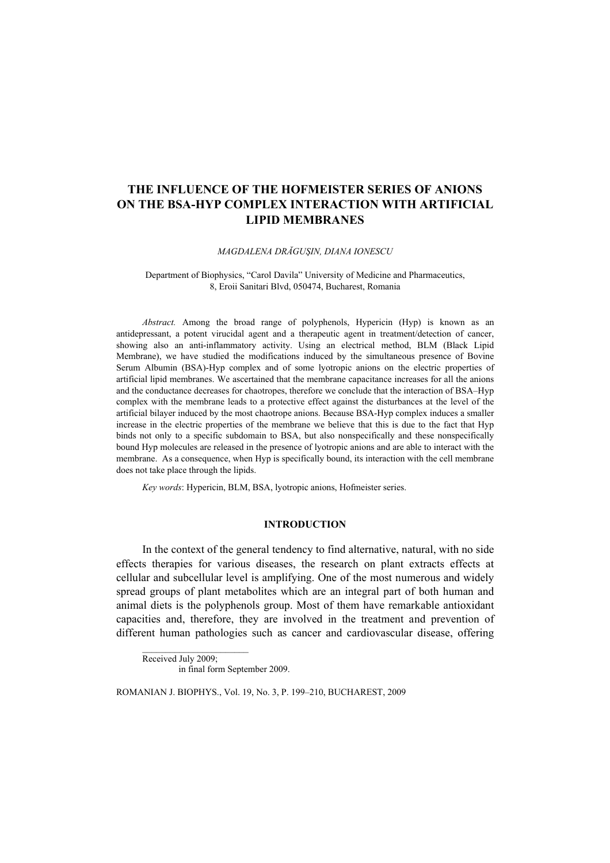# **THE INFLUENCE OF THE HOFMEISTER SERIES OF ANIONS ON THE BSA-HYP COMPLEX INTERACTION WITH ARTIFICIAL LIPID MEMBRANES**

### *MAGDALENA DRĂGUŞIN, DIANA IONESCU*

### Department of Biophysics, "Carol Davila" University of Medicine and Pharmaceutics, 8, Eroii Sanitari Blvd, 050474, Bucharest, Romania

*Abstract.* Among the broad range of polyphenols, Hypericin (Hyp) is known as an antidepressant, a potent virucidal agent and a therapeutic agent in treatment/detection of cancer, showing also an anti-inflammatory activity. Using an electrical method, BLM (Black Lipid Membrane), we have studied the modifications induced by the simultaneous presence of Bovine Serum Albumin (BSA)-Hyp complex and of some lyotropic anions on the electric properties of artificial lipid membranes. We ascertained that the membrane capacitance increases for all the anions and the conductance decreases for chaotropes, therefore we conclude that the interaction of BSA–Hyp complex with the membrane leads to a protective effect against the disturbances at the level of the artificial bilayer induced by the most chaotrope anions. Because BSA-Hyp complex induces a smaller increase in the electric properties of the membrane we believe that this is due to the fact that Hyp binds not only to a specific subdomain to BSA, but also nonspecifically and these nonspecifically bound Hyp molecules are released in the presence of lyotropic anions and are able to interact with the membrane. As a consequence, when Hyp is specifically bound, its interaction with the cell membrane does not take place through the lipids.

*Key words*: Hypericin, BLM, BSA, lyotropic anions, Hofmeister series.

## **INTRODUCTION**

In the context of the general tendency to find alternative, natural, with no side effects therapies for various diseases, the research on plant extracts effects at cellular and subcellular level is amplifying. One of the most numerous and widely spread groups of plant metabolites which are an integral part of both human and animal diets is the polyphenols group. Most of them have remarkable antioxidant capacities and, therefore, they are involved in the treatment and prevention of different human pathologies such as cancer and cardiovascular disease, offering

Received July 2009; in final form September 2009.

ROMANIAN J. BIOPHYS., Vol. 19, No. 3, P. 199–210, BUCHAREST, 2009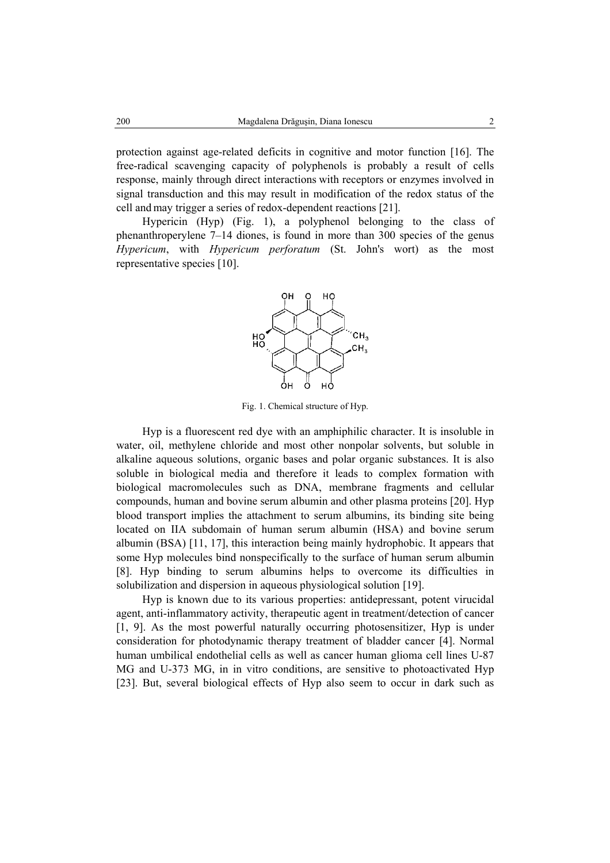protection against age-related deficits in cognitive and motor function [16]. The free-radical scavenging capacity of polyphenols is probably a result of cells response, mainly through direct interactions with receptors or enzymes involved in signal transduction and this may result in modification of the redox status of the cell and may trigger a series of redox-dependent reactions [21].

Hypericin (Hyp) (Fig. 1), a polyphenol belonging to the class of phenanthroperylene 7–14 diones, is found in more than 300 species of the genus *Hypericum*, with *Hypericum perforatum* (St. John's wort) as the most representative species [10].



Fig. 1. Chemical structure of Hyp.

Hyp is a fluorescent red dye with an amphiphilic character. It is insoluble in water, oil, methylene chloride and most other nonpolar solvents, but soluble in alkaline aqueous solutions, organic bases and polar organic substances. It is also soluble in biological media and therefore it leads to complex formation with biological macromolecules such as DNA, membrane fragments and cellular compounds, human and bovine serum albumin and other plasma proteins [20]. Hyp blood transport implies the attachment to serum albumins, its binding site being located on IIA subdomain of human serum albumin (HSA) and bovine serum albumin (BSA) [11, 17], this interaction being mainly hydrophobic. It appears that some Hyp molecules bind nonspecifically to the surface of human serum albumin [8]. Hyp binding to serum albumins helps to overcome its difficulties in solubilization and dispersion in aqueous physiological solution [19].

Hyp is known due to its various properties: antidepressant, potent virucidal agent, anti-inflammatory activity, therapeutic agent in treatment/detection of cancer [1, 9]. As the most powerful naturally occurring photosensitizer, Hyp is under consideration for photodynamic therapy treatment of bladder cancer [4]. Normal human umbilical endothelial cells as well as cancer human glioma cell lines U-87 MG and U-373 MG, in in vitro conditions, are sensitive to photoactivated Hyp [23]. But, several biological effects of Hyp also seem to occur in dark such as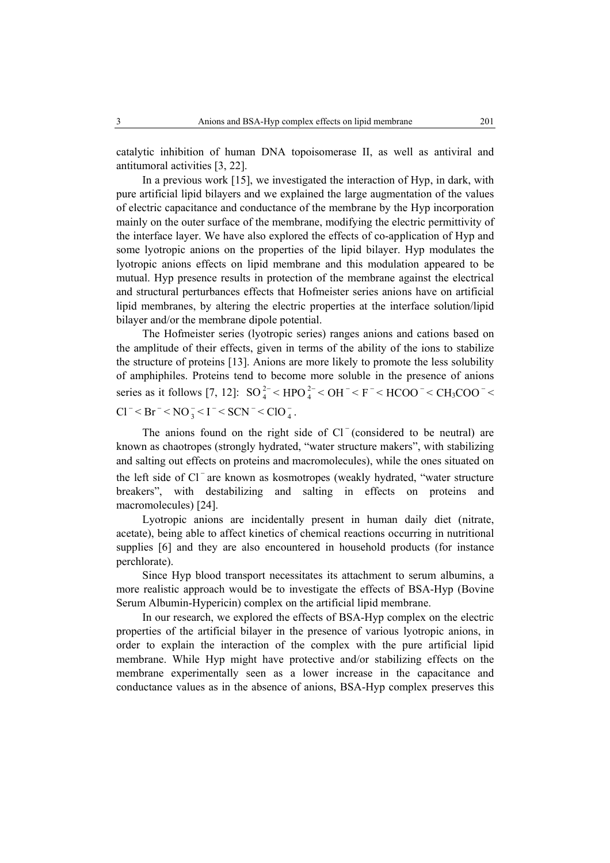catalytic inhibition of human DNA topoisomerase II, as well as antiviral and antitumoral activities [3, 22].

In a previous work [15], we investigated the interaction of Hyp, in dark, with pure artificial lipid bilayers and we explained the large augmentation of the values of electric capacitance and conductance of the membrane by the Hyp incorporation mainly on the outer surface of the membrane, modifying the electric permittivity of the interface layer. We have also explored the effects of co-application of Hyp and some lyotropic anions on the properties of the lipid bilayer. Hyp modulates the lyotropic anions effects on lipid membrane and this modulation appeared to be mutual. Hyp presence results in protection of the membrane against the electrical and structural perturbances effects that Hofmeister series anions have on artificial lipid membranes, by altering the electric properties at the interface solution/lipid bilayer and/or the membrane dipole potential.

The Hofmeister series (lyotropic series) ranges anions and cations based on the amplitude of their effects, given in terms of the ability of the ions to stabilize the structure of proteins [13]. Anions are more likely to promote the less solubility of amphiphiles. Proteins tend to become more soluble in the presence of anions series as it follows [7, 12]:  $SO_4^{2-}$  < HPO  $_4^{2-}$  < OH  $^{-}$  < F  $^{-}$  < HCOO  $^{-}$  < CH<sub>3</sub>COO  $^{-}$  <  $Cl^-$  <  $Br^-$  <  $NO_3^-$  <  $I^-$  <  $SCN^-$  <  $ClO_4^-$ .

The anions found on the right side of Cl<sup>−</sup> (considered to be neutral) are known as chaotropes (strongly hydrated, "water structure makers", with stabilizing and salting out effects on proteins and macromolecules), while the ones situated on the left side of Cl<sup>-</sup>are known as kosmotropes (weakly hydrated, "water structure breakers", with destabilizing and salting in effects on proteins and macromolecules) [24].

Lyotropic anions are incidentally present in human daily diet (nitrate, acetate), being able to affect kinetics of chemical reactions occurring in nutritional supplies [6] and they are also encountered in household products (for instance perchlorate).

Since Hyp blood transport necessitates its attachment to serum albumins, a more realistic approach would be to investigate the effects of BSA-Hyp (Bovine Serum Albumin-Hypericin) complex on the artificial lipid membrane.

In our research, we explored the effects of BSA-Hyp complex on the electric properties of the artificial bilayer in the presence of various lyotropic anions, in order to explain the interaction of the complex with the pure artificial lipid membrane. While Hyp might have protective and/or stabilizing effects on the membrane experimentally seen as a lower increase in the capacitance and conductance values as in the absence of anions, BSA-Hyp complex preserves this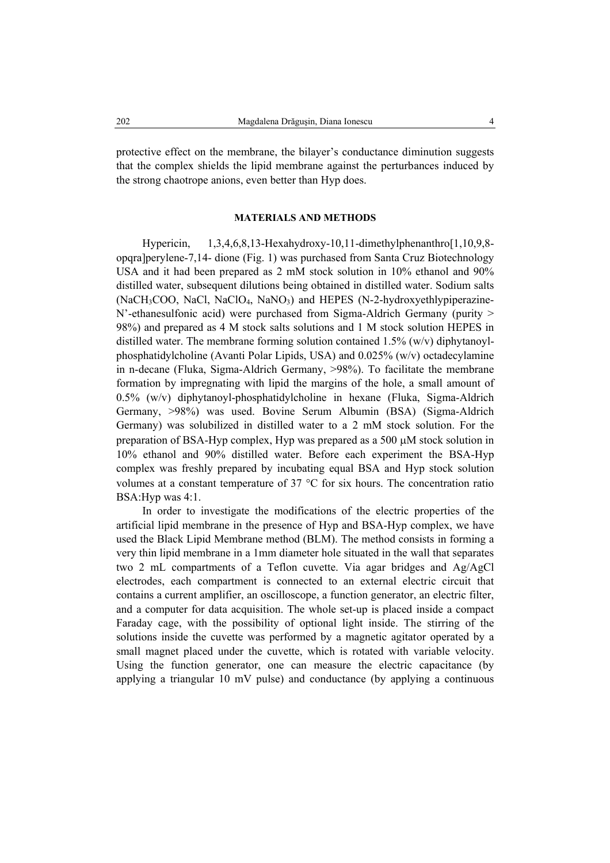protective effect on the membrane, the bilayer's conductance diminution suggests that the complex shields the lipid membrane against the perturbances induced by the strong chaotrope anions, even better than Hyp does.

### **MATERIALS AND METHODS**

Hypericin, 1,3,4,6,8,13-Hexahydroxy-10,11-dimethylphenanthro[1,10,9,8opqra]perylene-7,14- dione (Fig. 1) was purchased from Santa Cruz Biotechnology USA and it had been prepared as 2 mM stock solution in 10% ethanol and 90% distilled water, subsequent dilutions being obtained in distilled water. Sodium salts (NaCH<sub>3</sub>COO, NaCl, NaClO<sub>4</sub>, NaNO<sub>3</sub>) and HEPES (N-2-hydroxyethlypiperazine-N'-ethanesulfonic acid) were purchased from Sigma-Aldrich Germany (purity > 98%) and prepared as 4 M stock salts solutions and 1 M stock solution HEPES in distilled water. The membrane forming solution contained 1.5% (w/v) diphytanoylphosphatidylcholine (Avanti Polar Lipids, USA) and 0.025% (w/v) octadecylamine in n-decane (Fluka, Sigma-Aldrich Germany, >98%). To facilitate the membrane formation by impregnating with lipid the margins of the hole, a small amount of 0.5% (w/v) diphytanoyl-phosphatidylcholine in hexane (Fluka, Sigma-Aldrich Germany, >98%) was used. Bovine Serum Albumin (BSA) (Sigma-Aldrich Germany) was solubilized in distilled water to a 2 mM stock solution. For the preparation of BSA-Hyp complex, Hyp was prepared as a 500 µM stock solution in 10% ethanol and 90% distilled water. Before each experiment the BSA-Hyp complex was freshly prepared by incubating equal BSA and Hyp stock solution volumes at a constant temperature of 37 °C for six hours. The concentration ratio BSA:Hyp was 4:1.

In order to investigate the modifications of the electric properties of the artificial lipid membrane in the presence of Hyp and BSA-Hyp complex, we have used the Black Lipid Membrane method (BLM). The method consists in forming a very thin lipid membrane in a 1mm diameter hole situated in the wall that separates two 2 mL compartments of a Teflon cuvette. Via agar bridges and Ag/AgCl electrodes, each compartment is connected to an external electric circuit that contains a current amplifier, an oscilloscope, a function generator, an electric filter, and a computer for data acquisition. The whole set-up is placed inside a compact Faraday cage, with the possibility of optional light inside. The stirring of the solutions inside the cuvette was performed by a magnetic agitator operated by a small magnet placed under the cuvette, which is rotated with variable velocity. Using the function generator, one can measure the electric capacitance (by applying a triangular  $10 \text{ mV}$  pulse) and conductance (by applying a continuous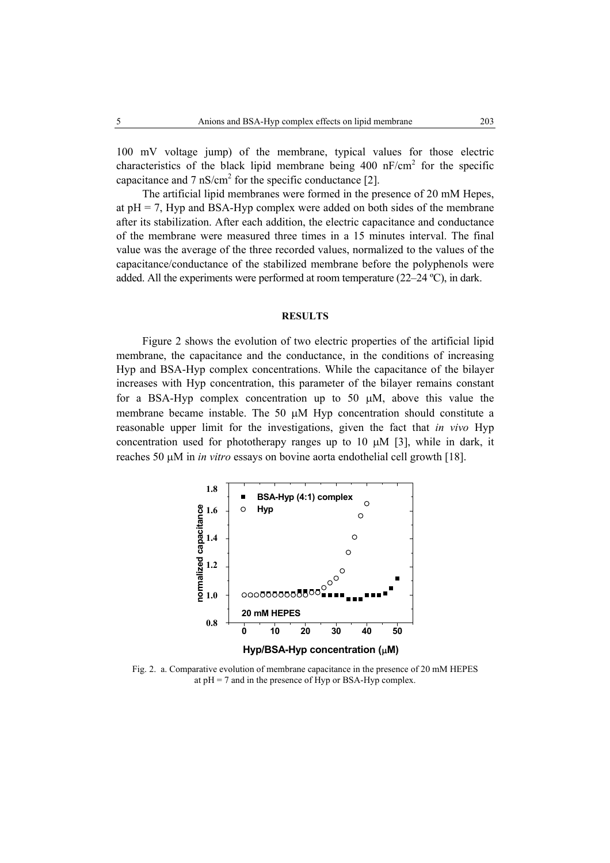100 mV voltage jump) of the membrane, typical values for those electric characteristics of the black lipid membrane being  $400 \text{ nF/cm}^2$  for the specific capacitance and  $7 \text{ nS/cm}^2$  for the specific conductance [2].

The artificial lipid membranes were formed in the presence of 20 mM Hepes, at  $pH = 7$ , Hyp and BSA-Hyp complex were added on both sides of the membrane after its stabilization. After each addition, the electric capacitance and conductance of the membrane were measured three times in a 15 minutes interval. The final value was the average of the three recorded values, normalized to the values of the capacitance/conductance of the stabilized membrane before the polyphenols were added. All the experiments were performed at room temperature (22–24 ºC), in dark.

#### **RESULTS**

Figure 2 shows the evolution of two electric properties of the artificial lipid membrane, the capacitance and the conductance, in the conditions of increasing Hyp and BSA-Hyp complex concentrations. While the capacitance of the bilayer increases with Hyp concentration, this parameter of the bilayer remains constant for a BSA-Hyp complex concentration up to 50 µM, above this value the membrane became instable. The 50  $\mu$ M Hyp concentration should constitute a reasonable upper limit for the investigations, given the fact that *in vivo* Hyp concentration used for phototherapy ranges up to 10  $\mu$ M [3], while in dark, it reaches 50 µM in *in vitro* essays on bovine aorta endothelial cell growth [18].



Fig. 2. a. Comparative evolution of membrane capacitance in the presence of 20 mM HEPES at  $pH = 7$  and in the presence of Hyp or BSA-Hyp complex.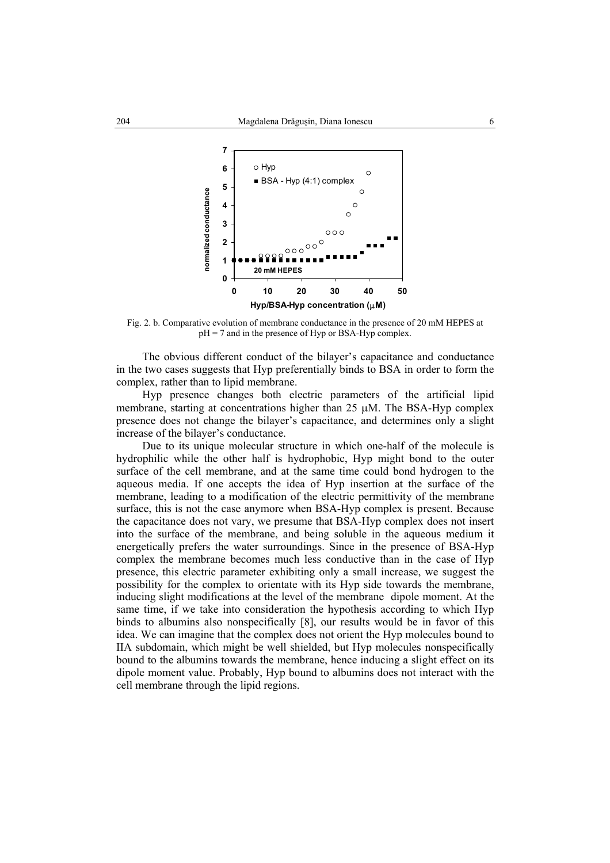

Fig. 2. b. Comparative evolution of membrane conductance in the presence of 20 mM HEPES at  $pH = 7$  and in the presence of Hyp or BSA-Hyp complex.

The obvious different conduct of the bilayer's capacitance and conductance in the two cases suggests that Hyp preferentially binds to BSA in order to form the complex, rather than to lipid membrane.

Hyp presence changes both electric parameters of the artificial lipid membrane, starting at concentrations higher than 25 µM. The BSA-Hyp complex presence does not change the bilayer's capacitance, and determines only a slight increase of the bilayer's conductance.

Due to its unique molecular structure in which one-half of the molecule is hydrophilic while the other half is hydrophobic, Hyp might bond to the outer surface of the cell membrane, and at the same time could bond hydrogen to the aqueous media. If one accepts the idea of Hyp insertion at the surface of the membrane, leading to a modification of the electric permittivity of the membrane surface, this is not the case anymore when BSA-Hyp complex is present. Because the capacitance does not vary, we presume that BSA-Hyp complex does not insert into the surface of the membrane, and being soluble in the aqueous medium it energetically prefers the water surroundings. Since in the presence of BSA-Hyp complex the membrane becomes much less conductive than in the case of Hyp presence, this electric parameter exhibiting only a small increase, we suggest the possibility for the complex to orientate with its Hyp side towards the membrane, inducing slight modifications at the level of the membrane dipole moment. At the same time, if we take into consideration the hypothesis according to which Hyp binds to albumins also nonspecifically [8], our results would be in favor of this idea. We can imagine that the complex does not orient the Hyp molecules bound to IIA subdomain, which might be well shielded, but Hyp molecules nonspecifically bound to the albumins towards the membrane, hence inducing a slight effect on its dipole moment value. Probably, Hyp bound to albumins does not interact with the cell membrane through the lipid regions.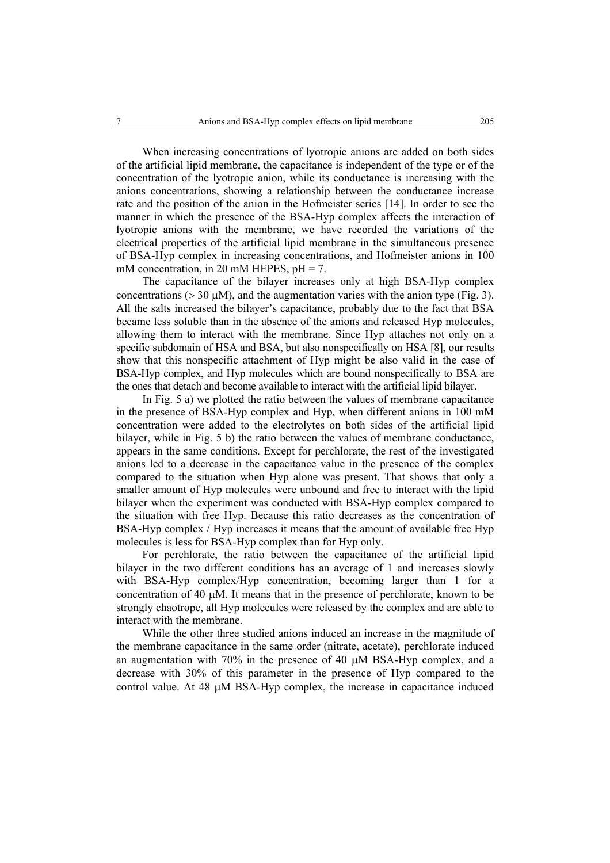When increasing concentrations of lyotropic anions are added on both sides of the artificial lipid membrane, the capacitance is independent of the type or of the concentration of the lyotropic anion, while its conductance is increasing with the anions concentrations, showing a relationship between the conductance increase rate and the position of the anion in the Hofmeister series [14]. In order to see the manner in which the presence of the BSA-Hyp complex affects the interaction of lyotropic anions with the membrane, we have recorded the variations of the electrical properties of the artificial lipid membrane in the simultaneous presence of BSA-Hyp complex in increasing concentrations, and Hofmeister anions in 100 mM concentration, in 20 mM HEPES,  $pH = 7$ .

The capacitance of the bilayer increases only at high BSA-Hyp complex concentrations ( $> 30 \mu M$ ), and the augmentation varies with the anion type (Fig. 3). All the salts increased the bilayer's capacitance, probably due to the fact that BSA became less soluble than in the absence of the anions and released Hyp molecules, allowing them to interact with the membrane. Since Hyp attaches not only on a specific subdomain of HSA and BSA, but also nonspecifically on HSA [8], our results show that this nonspecific attachment of Hyp might be also valid in the case of BSA-Hyp complex, and Hyp molecules which are bound nonspecifically to BSA are the ones that detach and become available to interact with the artificial lipid bilayer.

In Fig. 5 a) we plotted the ratio between the values of membrane capacitance in the presence of BSA-Hyp complex and Hyp, when different anions in 100 mM concentration were added to the electrolytes on both sides of the artificial lipid bilayer, while in Fig. 5 b) the ratio between the values of membrane conductance, appears in the same conditions. Except for perchlorate, the rest of the investigated anions led to a decrease in the capacitance value in the presence of the complex compared to the situation when Hyp alone was present. That shows that only a smaller amount of Hyp molecules were unbound and free to interact with the lipid bilayer when the experiment was conducted with BSA-Hyp complex compared to the situation with free Hyp. Because this ratio decreases as the concentration of BSA-Hyp complex / Hyp increases it means that the amount of available free Hyp molecules is less for BSA-Hyp complex than for Hyp only.

For perchlorate, the ratio between the capacitance of the artificial lipid bilayer in the two different conditions has an average of 1 and increases slowly with BSA-Hyp complex/Hyp concentration, becoming larger than 1 for a concentration of 40 µM. It means that in the presence of perchlorate, known to be strongly chaotrope, all Hyp molecules were released by the complex and are able to interact with the membrane.

While the other three studied anions induced an increase in the magnitude of the membrane capacitance in the same order (nitrate, acetate), perchlorate induced an augmentation with 70% in the presence of 40 µM BSA-Hyp complex, and a decrease with 30% of this parameter in the presence of Hyp compared to the control value. At 48 µM BSA-Hyp complex, the increase in capacitance induced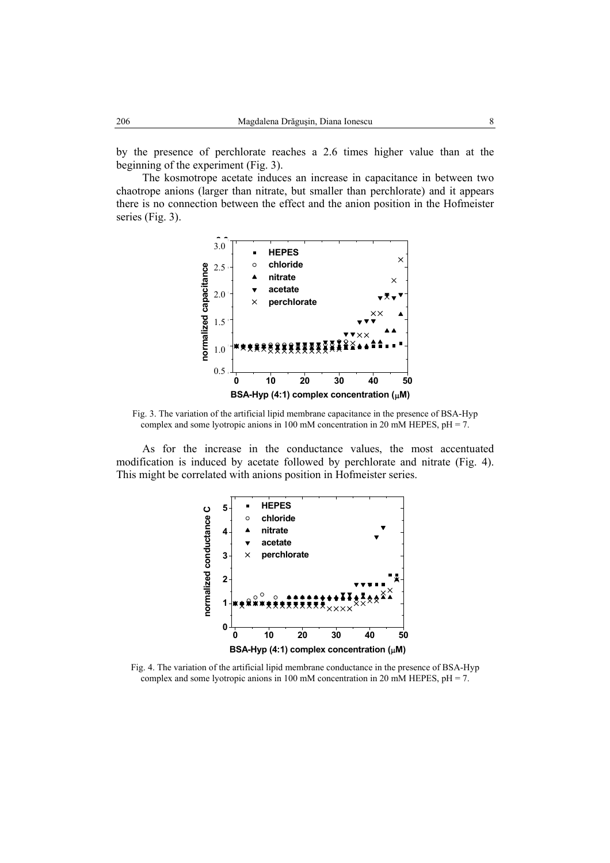by the presence of perchlorate reaches a 2.6 times higher value than at the beginning of the experiment (Fig. 3).

The kosmotrope acetate induces an increase in capacitance in between two chaotrope anions (larger than nitrate, but smaller than perchlorate) and it appears there is no connection between the effect and the anion position in the Hofmeister series (Fig. 3).



Fig. 3. The variation of the artificial lipid membrane capacitance in the presence of BSA-Hyp complex and some lyotropic anions in 100 mM concentration in 20 mM HEPES, pH = 7.

As for the increase in the conductance values, the most accentuated modification is induced by acetate followed by perchlorate and nitrate (Fig. 4). This might be correlated with anions position in Hofmeister series.



Fig. 4. The variation of the artificial lipid membrane conductance in the presence of BSA-Hyp complex and some lyotropic anions in 100 mM concentration in 20 mM HEPES,  $pH = 7$ .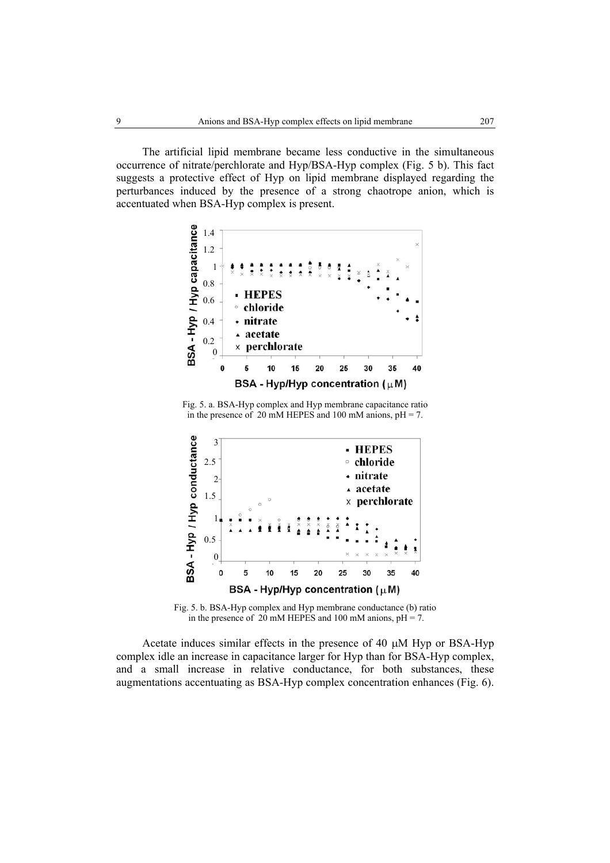The artificial lipid membrane became less conductive in the simultaneous occurrence of nitrate/perchlorate and Hyp/BSA-Hyp complex (Fig. 5 b). This fact suggests a protective effect of Hyp on lipid membrane displayed regarding the perturbances induced by the presence of a strong chaotrope anion, which is accentuated when BSA-Hyp complex is present.



Fig. 5. a. BSA-Hyp complex and Hyp membrane capacitance ratio in the presence of 20 mM HEPES and 100 mM anions,  $pH = 7$ .



Fig. 5. b. BSA-Hyp complex and Hyp membrane conductance (b) ratio in the presence of 20 mM HEPES and 100 mM anions,  $pH = 7$ .

Acetate induces similar effects in the presence of 40 µM Hyp or BSA-Hyp complex idle an increase in capacitance larger for Hyp than for BSA-Hyp complex, and a small increase in relative conductance, for both substances, these augmentations accentuating as BSA-Hyp complex concentration enhances (Fig. 6).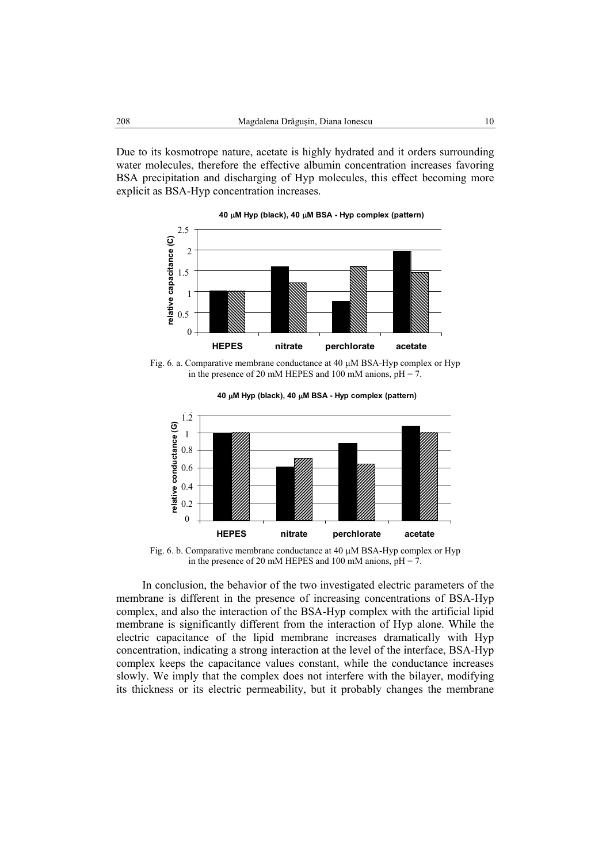Due to its kosmotrope nature, acetate is highly hydrated and it orders surrounding water molecules, therefore the effective albumin concentration increases favoring BSA precipitation and discharging of Hyp molecules, this effect becoming more explicit as BSA-Hyp concentration increases.



Fig. 6. a. Comparative membrane conductance at 40 µM BSA-Hyp complex or Hyp in the presence of 20 mM HEPES and 100 mM anions,  $pH = 7$ .



**40** µ**M Hyp (black), 40** µ**M BSA - Hyp complex (pattern)**

Fig. 6. b. Comparative membrane conductance at 40 µM BSA-Hyp complex or Hyp in the presence of 20 mM HEPES and 100 mM anions,  $pH = 7$ .

In conclusion, the behavior of the two investigated electric parameters of the membrane is different in the presence of increasing concentrations of BSA-Hyp complex, and also the interaction of the BSA-Hyp complex with the artificial lipid membrane is significantly different from the interaction of Hyp alone. While the electric capacitance of the lipid membrane increases dramatically with Hyp concentration, indicating a strong interaction at the level of the interface, BSA-Hyp complex keeps the capacitance values constant, while the conductance increases slowly. We imply that the complex does not interfere with the bilayer, modifying its thickness or its electric permeability, but it probably changes the membrane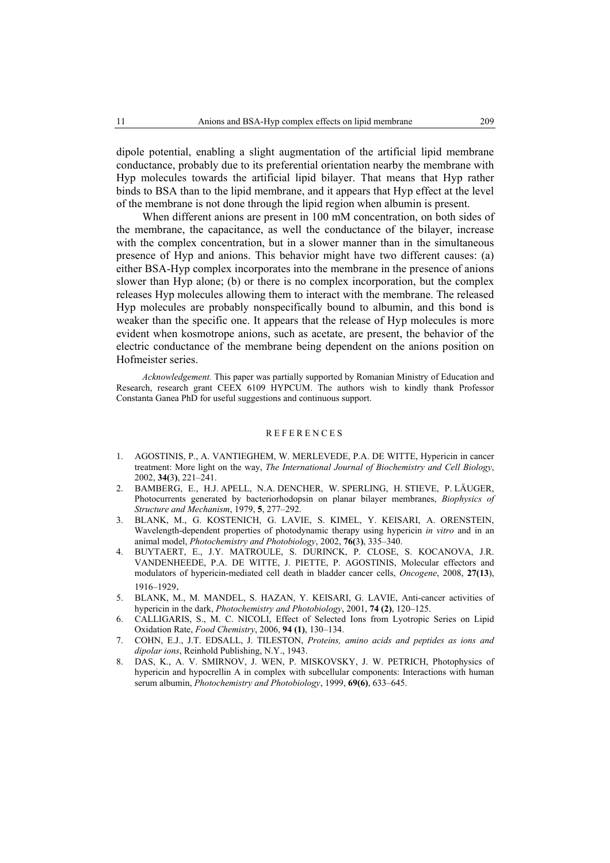dipole potential, enabling a slight augmentation of the artificial lipid membrane conductance, probably due to its preferential orientation nearby the membrane with Hyp molecules towards the artificial lipid bilayer. That means that Hyp rather binds to BSA than to the lipid membrane, and it appears that Hyp effect at the level of the membrane is not done through the lipid region when albumin is present.

When different anions are present in 100 mM concentration, on both sides of the membrane, the capacitance, as well the conductance of the bilayer, increase with the complex concentration, but in a slower manner than in the simultaneous presence of Hyp and anions. This behavior might have two different causes: (a) either BSA-Hyp complex incorporates into the membrane in the presence of anions slower than Hyp alone; (b) or there is no complex incorporation, but the complex releases Hyp molecules allowing them to interact with the membrane. The released Hyp molecules are probably nonspecifically bound to albumin, and this bond is weaker than the specific one. It appears that the release of Hyp molecules is more evident when kosmotrope anions, such as acetate, are present, the behavior of the electric conductance of the membrane being dependent on the anions position on Hofmeister series.

*Acknowledgement.* This paper was partially supported by Romanian Ministry of Education and Research, research grant CEEX 6109 HYPCUM. The authors wish to kindly thank Professor Constanta Ganea PhD for useful suggestions and continuous support.

### REFERENCES

- 1. AGOSTINIS, P., A. VANTIEGHEM, W. MERLEVEDE, P.A. DE WITTE, Hypericin in cancer treatment: More light on the way, *The International Journal of Biochemistry and Cell Biology*, 2002, **34(**3**)**, 221–241.
- 2. BAMBERG, E., H.J. APELL, N.A. DENCHER, W. SPERLING, H. STIEVE, P. LÄUGER, Photocurrents generated by bacteriorhodopsin on planar bilayer membranes, *Biophysics of Structure and Mechanism*, 1979, **5**, 277–292.
- 3. BLANK, M., G. KOSTENICH, G. LAVIE, S. KIMEL, Y. KEISARI, A. ORENSTEIN, Wavelength-dependent properties of photodynamic therapy using hypericin *in vitro* and in an animal model, *Photochemistry and Photobiology*, 2002, **76(**3**)**, 335–340.
- 4. BUYTAERT, E., J.Y. MATROULE, S. DURINCK, P. CLOSE, S. KOCANOVA, J.R. VANDENHEEDE, P.A. DE WITTE, J. PIETTE, P. AGOSTINIS, Molecular effectors and modulators of hypericin-mediated cell death in bladder cancer cells, *Oncogene*, 2008, **27(13**), 1916–1929.
- 5. BLANK, M., M. MANDEL, S. HAZAN, Y. KEISARI, G. LAVIE, Anti-cancer activities of hypericin in the dark, *Photochemistry and Photobiology*, 2001, **74 (2)**, 120–125.
- 6. CALLIGARIS, S., M. C. NICOLI, Effect of Selected Ions from Lyotropic Series on Lipid Oxidation Rate, *Food Chemistry*, 2006, **94 (1)**, 130–134.
- 7. COHN, E.J., J.T. EDSALL, J. TILESTON, *Proteins, amino acids and peptides as ions and dipolar ions*, Reinhold Publishing, N.Y., 1943.
- 8. DAS, K., A. V. SMIRNOV, J. WEN, P. MISKOVSKY, J. W. PETRICH, Photophysics of hypericin and hypocrellin A in complex with subcellular components: Interactions with human serum albumin, *Photochemistry and Photobiology*, 1999, **69(6)**, 633–645.